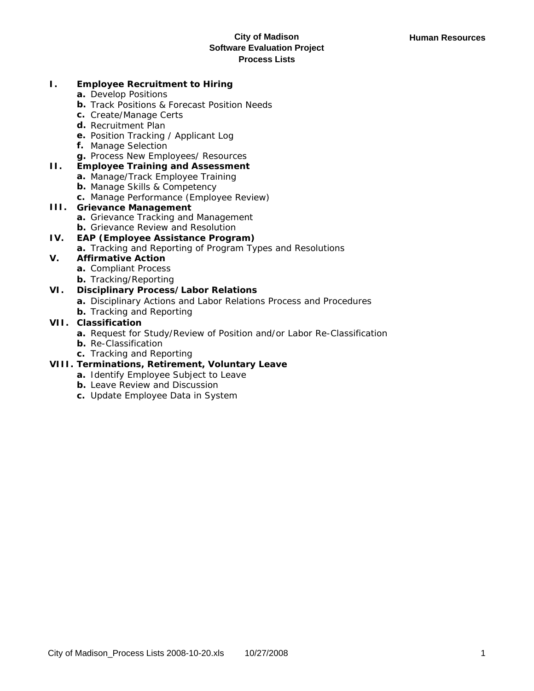### **I. Employee Recruitment to Hiring**

- **a.** Develop Positions
- **b.** Track Positions & Forecast Position Needs
- **c.** Create/Manage Certs
- **d.** Recruitment Plan
- **e.** Position Tracking / Applicant Log
- **f.** Manage Selection
- **g.** Process New Employees/ Resources
- **II. Employee Training and Assessment**
	- **a.** Manage/Track Employee Training
	- **b.** Manage Skills & Competency
	- **c.** Manage Performance (Employee Review)

# **III. Grievance Management**

- **a.** Grievance Tracking and Management
- **b.** Grievance Review and Resolution

### **IV. EAP (Employee Assistance Program)**

**a.** Tracking and Reporting of Program Types and Resolutions

# **V. Affirmative Action**

- **a.** Compliant Process
- **b.** Tracking/Reporting

# **VI. Disciplinary Process/Labor Relations**

- **a.** Disciplinary Actions and Labor Relations Process and Procedures
- **b.** Tracking and Reporting

# **VII. Classification**

- **a.** Request for Study/Review of Position and/or Labor Re-Classification
- **b.** Re-Classification
- **c.** Tracking and Reporting

# **VIII. Terminations, Retirement, Voluntary Leave**

- **a.** Identify Employee Subject to Leave
- **b.** Leave Review and Discussion
- **c.** Update Employee Data in System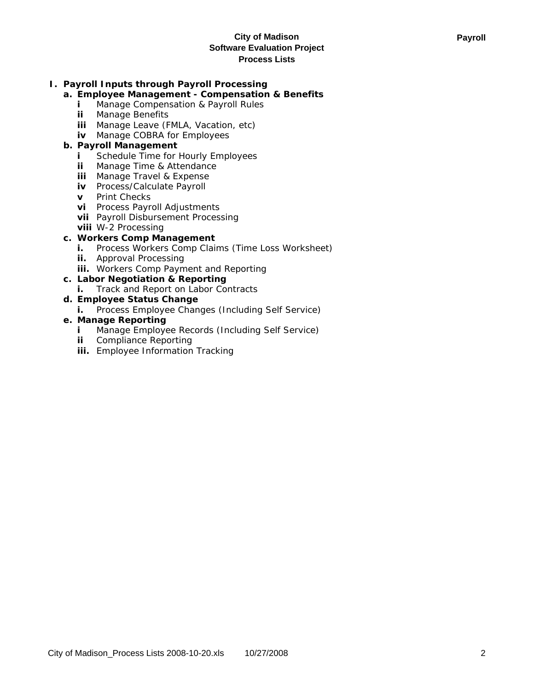# **I. Payroll Inputs through Payroll Processing**

## **a. Employee Management - Compensation & Benefits**

- **i** Manage Compensation & Payroll Rules
- **ii** Manage Benefits
- **iii** Manage Leave (FMLA, Vacation, etc)
- **iv** Manage COBRA for Employees

## **b. Payroll Management**

- **i** Schedule Time for Hourly Employees
- **ii** Manage Time & Attendance
- **iii** Manage Travel & Expense
- **iv** Process/Calculate Payroll
- **v** Print Checks
- **vi** Process Payroll Adjustments
- **vii** Payroll Disbursement Processing
- **viii** W-2 Processing

## **c. Workers Comp Management**

- **i.** Process Workers Comp Claims (Time Loss Worksheet)
- **ii.** Approval Processing
- **iii.** Workers Comp Payment and Reporting

# **c. Labor Negotiation & Reporting**

**i.** Track and Report on Labor Contracts

# **d. Employee Status Change**

**i.** Process Employee Changes (Including Self Service)

## **e. Manage Reporting**

- **i** Manage Employee Records (Including Self Service)
- **ii** Compliance Reporting
- **iii.** Employee Information Tracking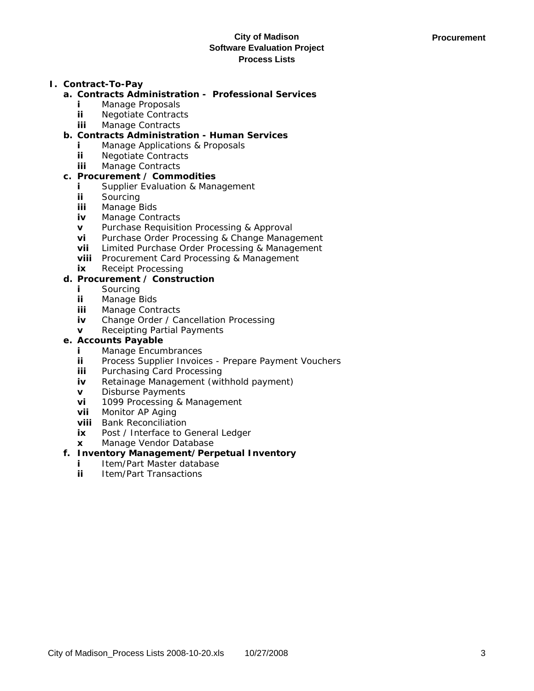## **I. Contract-To-Pay**

- **a. Contracts Administration Professional Services**
	- **i** Manage Proposals
	- **ii** Negotiate Contracts
	- **iii** Manage Contracts
- **b. Contracts Administration Human Services**
	- **i** Manage Applications & Proposals
	- **ii** Negotiate Contracts
	- **iii** Manage Contracts

## **c. Procurement / Commodities**

- **i** Supplier Evaluation & Management
- **ii** Sourcing
- **iii** Manage Bids
- **iv** Manage Contracts
- **v** Purchase Requisition Processing & Approval
- **vi** Purchase Order Processing & Change Management
- **vii** Limited Purchase Order Processing & Management
- **viii** Procurement Card Processing & Management
- **ix** Receipt Processing

# **d. Procurement / Construction**

- **i** Sourcing
- **ii** Manage Bids
- **iii** Manage Contracts
- **iv** Change Order / Cancellation Processing
- **v** Receipting Partial Payments

## **e. Accounts Payable**

- **i** Manage Encumbrances
- **ii** Process Supplier Invoices Prepare Payment Vouchers
- **iii** Purchasing Card Processing
- **iv** Retainage Management (withhold payment)
- **v** Disburse Payments
- **vi** 1099 Processing & Management
- **vii** Monitor AP Aging
- **viii** Bank Reconciliation
- **ix** Post / Interface to General Ledger
- **x** Manage Vendor Database

# **f. Inventory Management/Perpetual Inventory**

- **i** Item/Part Master database
- **ii** Item/Part Transactions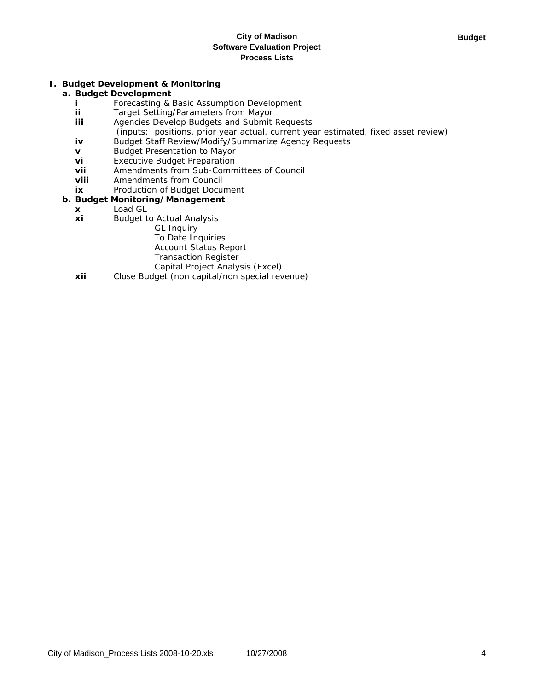### **I. Budget Development & Monitoring**

## **a. Budget Development**

- **i** Forecasting & Basic Assumption Development
- **ii** Target Setting/Parameters from Mayor
- **iii** Agencies Develop Budgets and Submit Requests
- (inputs: positions, prior year actual, current year estimated, fixed asset review) **iv** Budget Staff Review/Modify/Summarize Agency Requests
- **v** Budget Presentation to Mayor
- **vi** Executive Budget Preparation
- **vii** Amendments from Sub-Committees of Council
- **viii** Amendments from Council
- **ix** Production of Budget Document

### **b. Budget Monitoring/Management**

- **x** Load GL
- **xi** Budget to Actual Analysis
	- GL Inquiry
		- To Date Inquiries
		- Account Status Report
		- Transaction Register
		- Capital Project Analysis (Excel)
- **xii** Close Budget (non capital/non special revenue)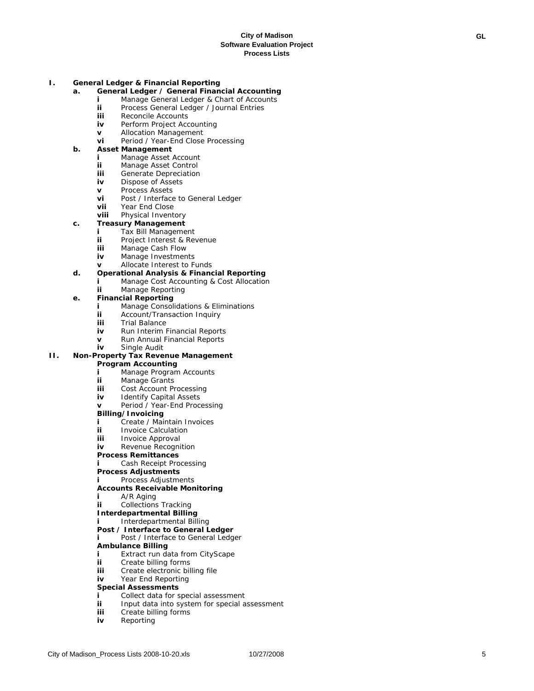### **I. General Ledger & Financial Reporting**

- **a. General Ledger / General Financial Accounting**
	- **i** Manage General Ledger & Chart of Accounts
	- **ii** Process General Ledger / Journal Entries<br> **iii** Reconcile Accounts
	- Reconcile Accounts
	- **iv** Perform Project Accounting
	- **v** Allocation Management<br>**vi** Period / Year-End Close
	- Period / Year-End Close Processing

#### **b. Asset Management**

- **i** Manage Asset Account
- **ii** Manage Asset Control
- **iii** Generate Depreciation
- **iv** Dispose of Assets
- **v** Process Assets
- **vi** Post / Interface to General Ledger
- **vii** Year End Close<br> **viii** Physical Invent

## **Physical Inventory**

### **c. Treasury Management**

- **i** Tax Bill Management
- **ii** Project Interest & Revenue
- **iii** Manage Cash Flow
- **iv** Manage Investments
- **v** Allocate Interest to Funds

## **d. Operational Analysis & Financial Reporting**

- **i** Manage Cost Accounting & Cost Allocation
- **ii** Manage Reporting

### **e. Financial Reporting**

- **i** Manage Consolidations & Eliminations<br>**ii** Account/Transaction Inquiry
- **ii** Account/Transaction Inquiry<br>**iii** Trial Balance
- **Trial Balance**
- **iv** Run Interim Financial Reports
- **v** Run Annual Financial Reports
- **iv** Single Audit

# **II. Non-Property Tax Revenue Management**

- **Program Accounting**
- **i** Manage Program Accounts
- **ii** Manage Grants
- **iii** Cost Account Processing<br>**iv** Identify Canital Assets
- **Identify Capital Assets**
- **v** Period / Year-End Processing

### **Billing/Invoicing**

- **i** Create / Maintain Invoices
- **ii** Invoice Calculation<br> **iii** Invoice Approval
- **Invoice Approval**
- **iv** Revenue Recognition

#### **Process Remittances**

- **i** Cash Receipt Processing
- **Process Adjustments**
- **i** Process Adjustments

#### **Accounts Receivable Monitoring**

- **i** A/R Aging
- **ii** Collections Tracking
- **Interdepartmental Billing**
- **i** Interdepartmental Billing

#### **Post / Interface to General Ledger** Post / Interface to General Ledger

## **Ambulance Billing**

- 
- **i** Extract run data from CityScape
- **ii** Create billing forms
- **iii** Create electronic billing file
- **iv** Year End Reporting

### **Special Assessments**

- **i** Collect data for special assessment<br>**ii** lnput data into system for special a
- Input data into system for special assessment
- **iii** Create billing forms
- **iv** Reporting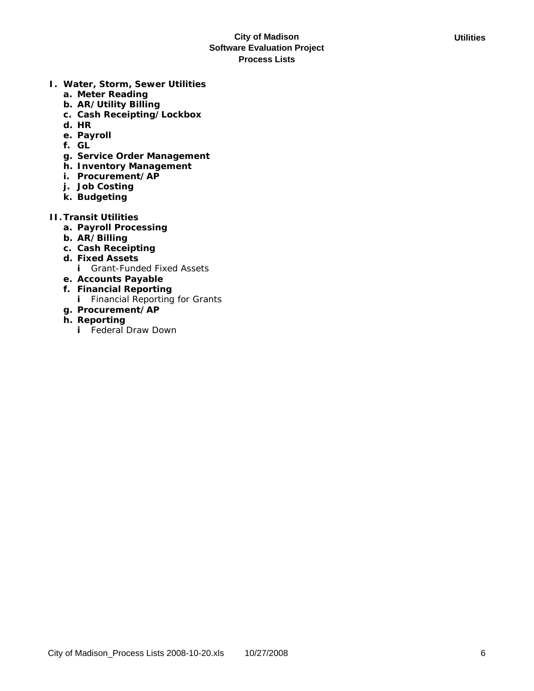- **I. Water, Storm, Sewer Utilities**
	- **a. Meter Reading**
	- **b. AR/Utility Billing**
	- **c. Cash Receipting/Lockbox**
	- **d. HR**
	- **e. Payroll**
	- **f. GL**
	- **g. Service Order Management**
	- **h. Inventory Management**
	- **i. Procurement/AP**
	- **j. Job Costing**
	- **k. Budgeting**
- **II.Transit Utilities**
	- **a. Payroll Processing**
	- **b. AR/Billing**
	- **c. Cash Receipting**
	- **d. Fixed Assets**
		- **i** Grant-Funded Fixed Assets
	- **e. Accounts Payable**
	- **f. Financial Reporting i** Financial Reporting for Grants
	- **g. Procurement/AP**
	- **h. Reporting**
		- **i** Federal Draw Down